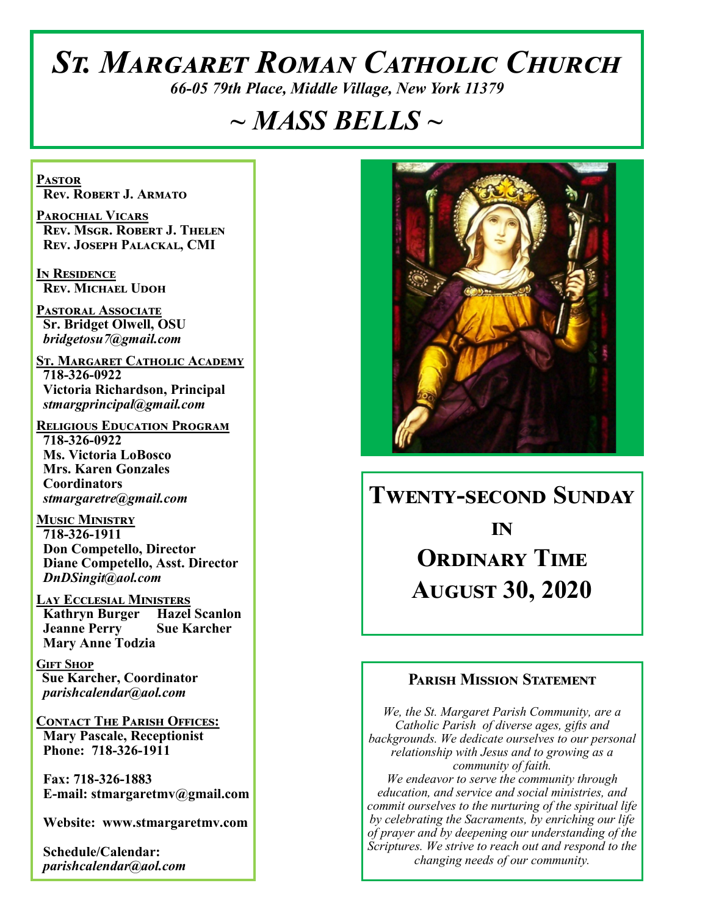# *St. Margaret Roman Catholic Church*

*66-05 79th Place, Middle Village, New York 11379*

# *~ MASS BELLS ~*

**Pastor Rev. Robert J. Armato**

**Parochial Vicars Rev. Msgr. Robert J. Thelen Rev. Joseph Palackal, CMI**

**In Residence Rev. Michael Udoh**

**Pastoral Associate Sr. Bridget Olwell, OSU**  *bridgetosu7@gmail.com*

**St. Margaret Catholic Academy 718-326-0922 Victoria Richardson, Principal**  *stmargprincipal@gmail.com*

**Religious Education Program 718-326-0922 Ms. Victoria LoBosco Mrs. Karen Gonzales Coordinators** *stmargaretre@gmail.com*

**Music Ministry 718-326-1911 Don Competello, Director Diane Competello, Asst. Director** *DnDSingit@aol.com*

**Lay Ecclesial Ministers Kathryn Burger Hazel Scanlon Jeanne Perry Sue Karcher Mary Anne Todzia**

**Gift Shop Sue Karcher, Coordinator** *parishcalendar@aol.com*

**Contact The Parish Offices: Mary Pascale, Receptionist Phone: 718-326-1911** 

 **Fax: 718-326-1883 E-mail: stmargaretmv@gmail.com**

 **Website: www.stmargaretmv.com**

 **Schedule/Calendar:** *parishcalendar@aol.com* 



# **Twenty-second Sunday**

**in Ordinary Time August 30, 2020** 

#### **Parish Mission Statement**

*We, the St. Margaret Parish Community, are a Catholic Parish of diverse ages, gifts and backgrounds. We dedicate ourselves to our personal relationship with Jesus and to growing as a community of faith. We endeavor to serve the community through education, and service and social ministries, and commit ourselves to the nurturing of the spiritual life by celebrating the Sacraments, by enriching our life of prayer and by deepening our understanding of the Scriptures. We strive to reach out and respond to the changing needs of our community.*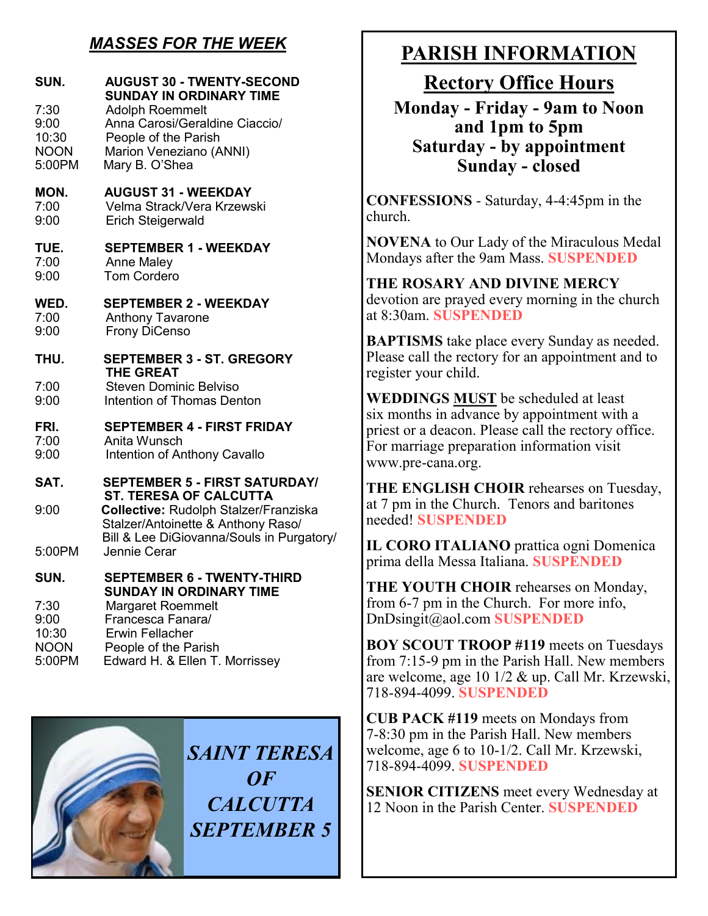# *MASSES FOR THE WEEK*

| SUN.<br>7:30<br>9:00<br>10:30<br><b>NOON</b><br>5:00PM | <b>AUGUST 30 - TWENTY-SECOND</b><br><b>SUNDAY IN ORDINARY TIME</b><br><b>Adolph Roemmelt</b><br>Anna Carosi/Geraldine Ciaccio/<br>People of the Parish<br>Marion Veneziano (ANNI)<br>Mary B. O'Shea |  |
|--------------------------------------------------------|-----------------------------------------------------------------------------------------------------------------------------------------------------------------------------------------------------|--|
| MON.<br>7:00<br>9:00                                   | <b>AUGUST 31 - WEEKDAY</b><br>Velma Strack/Vera Krzewski<br>Erich Steigerwald                                                                                                                       |  |
| TUE.<br>7:00<br>9:00                                   | <b>SEPTEMBER 1 - WEEKDAY</b><br><b>Anne Maley</b><br><b>Tom Cordero</b>                                                                                                                             |  |
| WED.<br>7:00<br>9:00                                   | <b>SEPTEMBER 2 - WEEKDAY</b><br><b>Anthony Tavarone</b><br><b>Frony DiCenso</b>                                                                                                                     |  |
| THU.                                                   | <b>SEPTEMBER 3 - ST. GREGORY</b>                                                                                                                                                                    |  |
| 7:00<br>9:00                                           | <b>THE GREAT</b><br><b>Steven Dominic Belviso</b><br><b>Intention of Thomas Denton</b>                                                                                                              |  |
| FRI.<br>7:00<br>9:00                                   | <b>SEPTEMBER 4 - FIRST FRIDAY</b><br>Anita Wunsch<br>Intention of Anthony Cavallo                                                                                                                   |  |
| SAT.                                                   | <b>SEPTEMBER 5 - FIRST SATURDAY/</b>                                                                                                                                                                |  |
| 9:00                                                   | <b>ST. TERESA OF CALCUTTA</b><br><b>Collective: Rudolph Stalzer/Franziska</b><br>Stalzer/Antoinette & Anthony Raso/<br>Bill & Lee DiGiovanna/Souls in Purgatory/                                    |  |
| 5:00PM                                                 | Jennie Cerar                                                                                                                                                                                        |  |
| SUN.                                                   | <b>SEPTEMBER 6 - TWENTY-THIRD</b><br><b>SUNDAY IN ORDINARY TIME</b>                                                                                                                                 |  |
| 7:30<br>9:00<br>10:30<br><b>NOON</b><br>5:00PM         | <b>Margaret Roemmelt</b><br>Francesca Fanara/<br><b>Erwin Fellacher</b><br>People of the Parish<br>Edward H. & Ellen T. Morrissey                                                                   |  |



*SAINT TERESA OF CALCUTTA SEPTEMBER 5*

# **PARISH INFORMATION**

**Rectory Office Hours** 

**Monday - Friday - 9am to Noon and 1pm to 5pm Saturday - by appointment Sunday - closed**

**CONFESSIONS** - Saturday, 4-4:45pm in the church.

**NOVENA** to Our Lady of the Miraculous Medal Mondays after the 9am Mass. **SUSPENDED**

**THE ROSARY AND DIVINE MERCY** devotion are prayed every morning in the church at 8:30am. **SUSPENDED**

**BAPTISMS** take place every Sunday as needed. Please call the rectory for an appointment and to register your child.

**WEDDINGS MUST** be scheduled at least six months in advance by appointment with a priest or a deacon. Please call the rectory office. For marriage preparation information visit www.pre-cana.org.

**THE ENGLISH CHOIR** rehearses on Tuesday, at 7 pm in the Church. Tenors and baritones needed! **SUSPENDED**

**IL CORO ITALIANO** prattica ogni Domenica prima della Messa Italiana. **SUSPENDED**

**THE YOUTH CHOIR** rehearses on Monday, from 6-7 pm in the Church. For more info, DnDsingit@aol.com **SUSPENDED**

**BOY SCOUT TROOP #119** meets on Tuesdays from 7:15-9 pm in the Parish Hall. New members are welcome, age 10 1/2 & up. Call Mr. Krzewski, 718-894-4099. **SUSPENDED**

**CUB PACK #119** meets on Mondays from 7-8:30 pm in the Parish Hall. New members welcome, age 6 to 10-1/2. Call Mr. Krzewski, 718-894-4099. **SUSPENDED**

**SENIOR CITIZENS** meet every Wednesday at 12 Noon in the Parish Center. **SUSPENDED**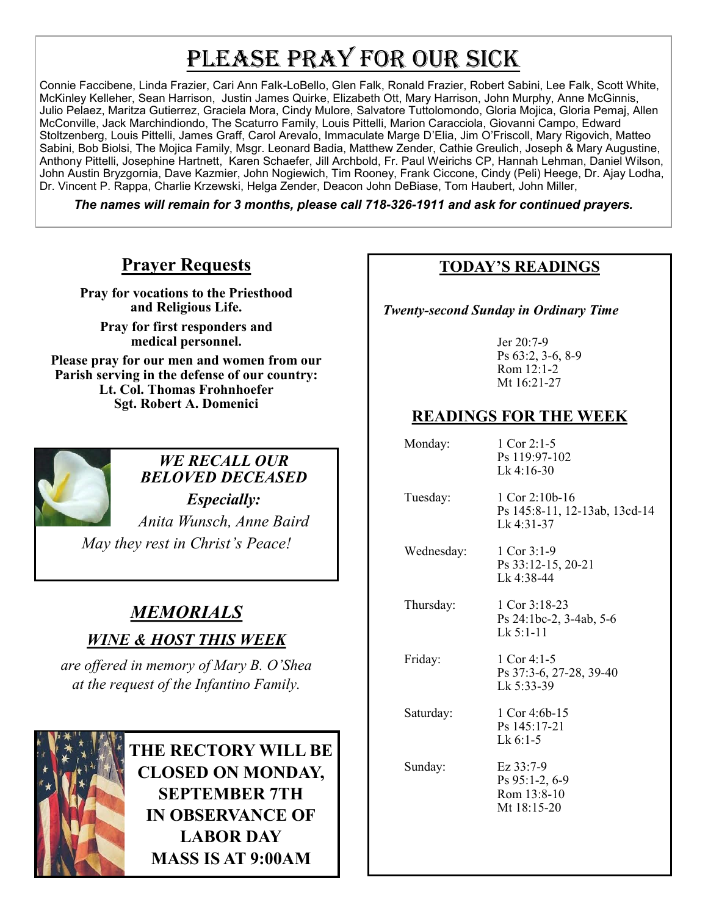# PLEASE PRAY FOR OUR SICK

Connie Faccibene, Linda Frazier, Cari Ann Falk-LoBello, Glen Falk, Ronald Frazier, Robert Sabini, Lee Falk, Scott White, McKinley Kelleher, Sean Harrison, Justin James Quirke, Elizabeth Ott, Mary Harrison, John Murphy, Anne McGinnis, Julio Pelaez, Maritza Gutierrez, Graciela Mora, Cindy Mulore, Salvatore Tuttolomondo, Gloria Mojica, Gloria Pemaj, Allen McConville, Jack Marchindiondo, The Scaturro Family, Louis Pittelli, Marion Caracciola, Giovanni Campo, Edward Stoltzenberg, Louis Pittelli, James Graff, Carol Arevalo, Immaculate Marge D'Elia, Jim O'Friscoll, Mary Rigovich, Matteo Sabini, Bob Biolsi, The Mojica Family, Msgr. Leonard Badia, Matthew Zender, Cathie Greulich, Joseph & Mary Augustine, Anthony Pittelli, Josephine Hartnett, Karen Schaefer, Jill Archbold, Fr. Paul Weirichs CP, Hannah Lehman, Daniel Wilson, John Austin Bryzgornia, Dave Kazmier, John Nogiewich, Tim Rooney, Frank Ciccone, Cindy (Peli) Heege, Dr. Ajay Lodha, Dr. Vincent P. Rappa, Charlie Krzewski, Helga Zender, Deacon John DeBiase, Tom Haubert, John Miller,

*The names will remain for 3 months, please call 718-326-1911 and ask for continued prayers.*

# **Prayer Requests**

**Pray for vocations to the Priesthood and Religious Life.** 

**Pray for first responders and medical personnel.**

**Please pray for our men and women from our Parish serving in the defense of our country: Lt. Col. Thomas Frohnhoefer Sgt. Robert A. Domenici** 



# *WE RECALL OUR BELOVED DECEASED*

*Especially: Anita Wunsch, Anne Baird May they rest in Christ's Peace!*

# *MEMORIALS*

*WINE & HOST THIS WEEK*

*are offered in memory of Mary B. O'Shea at the request of the Infantino Family.*



**THE RECTORY WILL BE CLOSED ON MONDAY, SEPTEMBER 7TH IN OBSERVANCE OF LABOR DAY MASS IS AT 9:00AM**

### **TODAY'S READINGS**

 *Twenty-second Sunday in Ordinary Time*

Jer 20:7-9 Ps 63:2, 3-6, 8-9 Rom 12:1-2 Mt 16:21-27

## **READINGS FOR THE WEEK**

| Monday:    | 1 Cor $2:1-5$<br>Ps 119:97-102<br>$Lk$ 4:16-30                  |
|------------|-----------------------------------------------------------------|
| Tuesday:   | 1 Cor 2:10b-16<br>Ps 145:8-11, 12-13ab, 13cd-14<br>$Lk$ 4:31-37 |
| Wednesday: | 1 Cor $3:1-9$<br>Ps 33:12-15, 20-21<br>Lk 4:38-44               |
| Thursday:  | 1 Cor $3:18-23$<br>Ps 24:1bc-2, 3-4ab, 5-6<br>$Lk$ 5:1-11       |
| Friday:    | 1 Cor 4:1-5<br>Ps 37:3-6, 27-28, 39-40<br>Lk 5:33-39            |
| Saturday:  | 1 Cor 4:6b-15<br>Ps 145:17-21<br>$Lk$ 6:1-5                     |
| Sunday:    | Ez 33:7-9<br>Ps 95:1-2, 6-9<br>Rom 13:8-10<br>Mt 18:15-20       |
|            |                                                                 |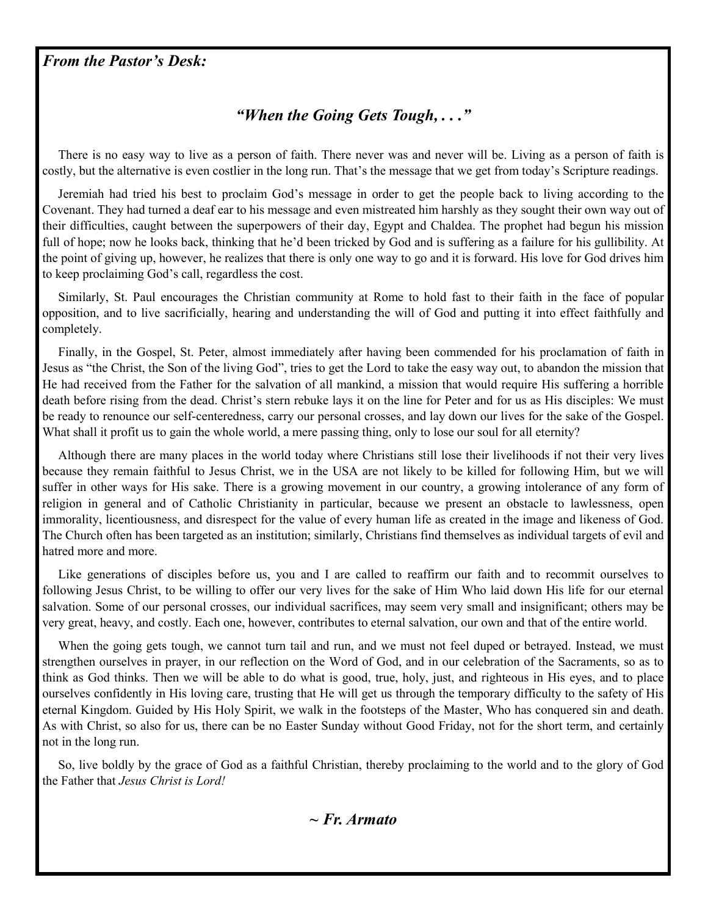#### *From the Pastor's Desk:*

## *"When the Going Gets Tough, . . ."*

 There is no easy way to live as a person of faith. There never was and never will be. Living as a person of faith is costly, but the alternative is even costlier in the long run. That's the message that we get from today's Scripture readings.

 Jeremiah had tried his best to proclaim God's message in order to get the people back to living according to the Covenant. They had turned a deaf ear to his message and even mistreated him harshly as they sought their own way out of their difficulties, caught between the superpowers of their day, Egypt and Chaldea. The prophet had begun his mission full of hope; now he looks back, thinking that he'd been tricked by God and is suffering as a failure for his gullibility. At the point of giving up, however, he realizes that there is only one way to go and it is forward. His love for God drives him to keep proclaiming God's call, regardless the cost.

 Similarly, St. Paul encourages the Christian community at Rome to hold fast to their faith in the face of popular opposition, and to live sacrificially, hearing and understanding the will of God and putting it into effect faithfully and completely.

 Finally, in the Gospel, St. Peter, almost immediately after having been commended for his proclamation of faith in Jesus as "the Christ, the Son of the living God", tries to get the Lord to take the easy way out, to abandon the mission that He had received from the Father for the salvation of all mankind, a mission that would require His suffering a horrible death before rising from the dead. Christ's stern rebuke lays it on the line for Peter and for us as His disciples: We must be ready to renounce our self-centeredness, carry our personal crosses, and lay down our lives for the sake of the Gospel. What shall it profit us to gain the whole world, a mere passing thing, only to lose our soul for all eternity?

 Although there are many places in the world today where Christians still lose their livelihoods if not their very lives because they remain faithful to Jesus Christ, we in the USA are not likely to be killed for following Him, but we will suffer in other ways for His sake. There is a growing movement in our country, a growing intolerance of any form of religion in general and of Catholic Christianity in particular, because we present an obstacle to lawlessness, open immorality, licentiousness, and disrespect for the value of every human life as created in the image and likeness of God. The Church often has been targeted as an institution; similarly, Christians find themselves as individual targets of evil and hatred more and more.

 Like generations of disciples before us, you and I are called to reaffirm our faith and to recommit ourselves to following Jesus Christ, to be willing to offer our very lives for the sake of Him Who laid down His life for our eternal salvation. Some of our personal crosses, our individual sacrifices, may seem very small and insignificant; others may be very great, heavy, and costly. Each one, however, contributes to eternal salvation, our own and that of the entire world.

When the going gets tough, we cannot turn tail and run, and we must not feel duped or betrayed. Instead, we must strengthen ourselves in prayer, in our reflection on the Word of God, and in our celebration of the Sacraments, so as to think as God thinks. Then we will be able to do what is good, true, holy, just, and righteous in His eyes, and to place ourselves confidently in His loving care, trusting that He will get us through the temporary difficulty to the safety of His eternal Kingdom. Guided by His Holy Spirit, we walk in the footsteps of the Master, Who has conquered sin and death. As with Christ, so also for us, there can be no Easter Sunday without Good Friday, not for the short term, and certainly not in the long run.

 So, live boldly by the grace of God as a faithful Christian, thereby proclaiming to the world and to the glory of God the Father that *Jesus Christ is Lord!*

*~ Fr. Armato*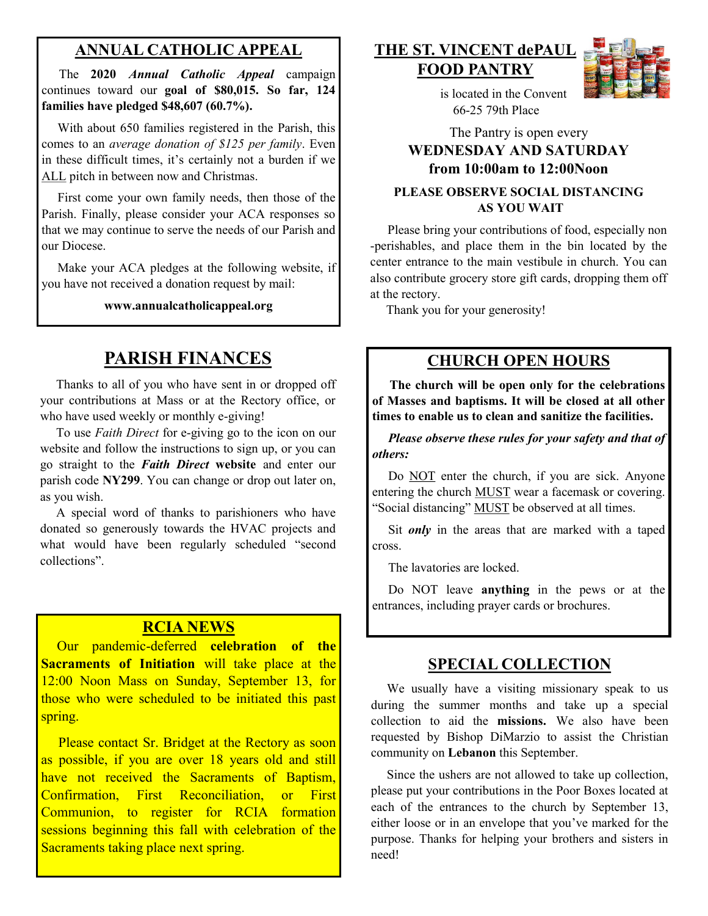#### **ANNUAL CATHOLIC APPEAL**

 The **2020** *Annual Catholic Appeal* campaign continues toward our **goal of \$80,015. So far, 124 families have pledged \$48,607 (60.7%).** 

 With about 650 families registered in the Parish, this comes to an *average donation of \$125 per family*. Even in these difficult times, it's certainly not a burden if we ALL pitch in between now and Christmas.

 First come your own family needs, then those of the Parish. Finally, please consider your ACA responses so that we may continue to serve the needs of our Parish and our Diocese.

Make your ACA pledges at the following website, if you have not received a donation request by mail:

**www.annualcatholicappeal.org** 

# **PARISH FINANCES**

 Thanks to all of you who have sent in or dropped off your contributions at Mass or at the Rectory office, or who have used weekly or monthly e-giving!

 To use *Faith Direct* for e-giving go to the icon on our website and follow the instructions to sign up, or you can go straight to the *Faith Direct* **website** and enter our parish code **NY299**. You can change or drop out later on, as you wish.

 A special word of thanks to parishioners who have donated so generously towards the HVAC projects and what would have been regularly scheduled "second collections".

#### **RCIA NEWS**

 Our pandemic-deferred **celebration of the Sacraments of Initiation** will take place at the 12:00 Noon Mass on Sunday, September 13, for those who were scheduled to be initiated this past spring.

Please contact Sr. Bridget at the Rectory as soon as possible, if you are over 18 years old and still have not received the Sacraments of Baptism, Confirmation, First Reconciliation, or First Communion, to register for RCIA formation sessions beginning this fall with celebration of the Sacraments taking place next spring.

#### **THE ST. VINCENT dePAUL FOOD PANTRY**



 is located in the Convent 66-25 79th Place

#### The Pantry is open every **WEDNESDAY AND SATURDAY from 10:00am to 12:00Noon PLEASE OBSERVE SOCIAL DISTANCING AS YOU WAIT**

 Please bring your contributions of food, especially non -perishables, and place them in the bin located by the center entrance to the main vestibule in church. You can also contribute grocery store gift cards, dropping them off at the rectory.

Thank you for your generosity!

#### **CHURCH OPEN HOURS**

 **The church will be open only for the celebrations of Masses and baptisms. It will be closed at all other times to enable us to clean and sanitize the facilities.** 

 *Please observe these rules for your safety and that of others:* 

Do NOT enter the church, if you are sick. Anyone entering the church MUST wear a facemask or covering. "Social distancing" MUST be observed at all times.

 Sit *only* in the areas that are marked with a taped cross.

The lavatories are locked.

 Do NOT leave **anything** in the pews or at the entrances, including prayer cards or brochures.

#### **SPECIAL COLLECTION**

 We usually have a visiting missionary speak to us during the summer months and take up a special collection to aid the **missions.** We also have been requested by Bishop DiMarzio to assist the Christian community on **Lebanon** this September.

 Since the ushers are not allowed to take up collection, please put your contributions in the Poor Boxes located at each of the entrances to the church by September 13, either loose or in an envelope that you've marked for the purpose. Thanks for helping your brothers and sisters in need!